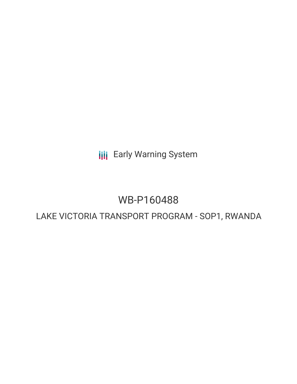**III** Early Warning System

# WB-P160488

# LAKE VICTORIA TRANSPORT PROGRAM - SOP1, RWANDA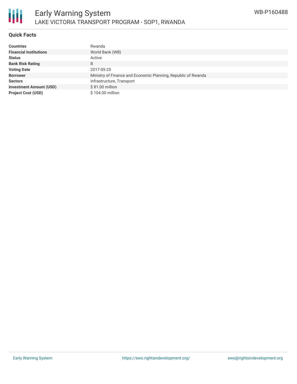

### **Quick Facts**

| <b>Countries</b>               | Rwanda                                                        |
|--------------------------------|---------------------------------------------------------------|
| <b>Financial Institutions</b>  | World Bank (WB)                                               |
| <b>Status</b>                  | Active                                                        |
| <b>Bank Risk Rating</b>        | B                                                             |
| <b>Voting Date</b>             | 2017-05-25                                                    |
| <b>Borrower</b>                | Ministry of Finance and Economic Planning, Republic of Rwanda |
| <b>Sectors</b>                 | Infrastructure, Transport                                     |
| <b>Investment Amount (USD)</b> | \$81.00 million                                               |
| <b>Project Cost (USD)</b>      | \$104.00 million                                              |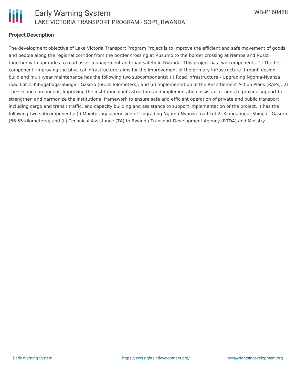

#### **Project Description**

The development objective of Lake Victoria Transport Program Project is to improve the efficient and safe movement of goods and people along the regional corridor from the border crossing at Rusumo to the border crossing at Nemba and Rusizi together with upgrades to road asset management and road safety in Rwanda. This project has two components. 1) The first component, Improving the physical infrastructure, aims for the improvement of the primary infrastructure through design, build and multi-year maintenance has the following two subcomponents: (i) Road Infrastructure - Upgrading Ngoma-Nyanza road Lot 2: Kibugabuga-Shinga - Gasoro (66.55 kilometers); and (ii) Implementation of the Resettlement Action Plans (RAPs). 2) The second component, Improving the institutional infrastructure and implementation assistance, aims to provide support to strengthen and harmonize the institutional framework to ensure safe and efficient operation of private and public transport including cargo and transit traffic, and capacity building and assistance to support implementation of the project. It has the following two subcomponents: (i) Monitoring/supervision of Upgrading Ngoma-Nyanza road Lot 2: Kibugabuga- Shinga - Gasoro (66.55 kilometers); and (ii) Technical Assistance (TA) to Rwanda Transport Development Agency (RTDA) and Ministry.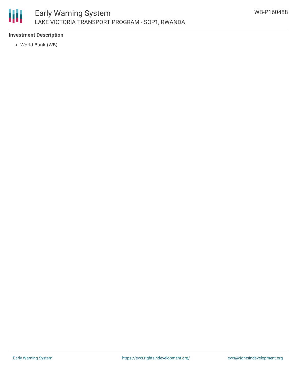

# **Investment Description**

World Bank (WB)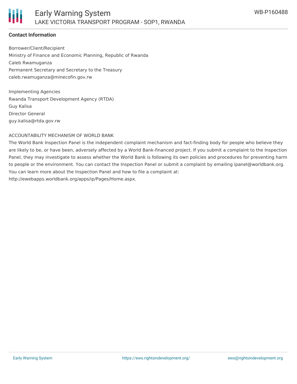# **Contact Information**

Borrower/Client/Recipient Ministry of Finance and Economic Planning, Republic of Rwanda Caleb Rwamuganza Permanent Secretary and Secretary to the Treasury caleb.rwamuganza@minecofin.gov.rw

Implementing Agencies Rwanda Transport Development Agency (RTDA) Guy Kalisa Director General guy.kalisa@rtda.gov.rw

#### ACCOUNTABILITY MECHANISM OF WORLD BANK

The World Bank Inspection Panel is the independent complaint mechanism and fact-finding body for people who believe they are likely to be, or have been, adversely affected by a World Bank-financed project. If you submit a complaint to the Inspection Panel, they may investigate to assess whether the World Bank is following its own policies and procedures for preventing harm to people or the environment. You can contact the Inspection Panel or submit a complaint by emailing ipanel@worldbank.org. You can learn more about the Inspection Panel and how to file a complaint at: http://ewebapps.worldbank.org/apps/ip/Pages/Home.aspx.